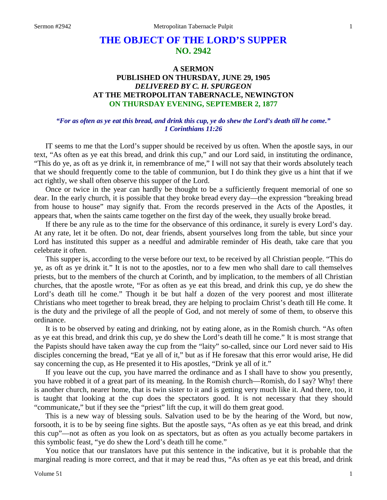# **THE OBJECT OF THE LORD'S SUPPER NO. 2942**

# **A SERMON PUBLISHED ON THURSDAY, JUNE 29, 1905** *DELIVERED BY C. H. SPURGEON* **AT THE METROPOLITAN TABERNACLE, NEWINGTON ON THURSDAY EVENING, SEPTEMBER 2, 1877**

### *"For as often as ye eat this bread, and drink this cup, ye do shew the Lord's death till he come." 1 Corinthians 11:26*

IT seems to me that the Lord's supper should be received by us often. When the apostle says, in our text, "As often as ye eat this bread, and drink this cup," and our Lord said, in instituting the ordinance, "This do ye, as oft as ye drink it, in remembrance of me," I will not say that their words absolutely teach that we should frequently come to the table of communion, but I do think they give us a hint that if we act rightly, we shall often observe this supper of the Lord.

Once or twice in the year can hardly be thought to be a sufficiently frequent memorial of one so dear. In the early church, it is possible that they broke bread every day—the expression "breaking bread from house to house" may signify that. From the records preserved in the Acts of the Apostles, it appears that, when the saints came together on the first day of the week, they usually broke bread.

If there be any rule as to the time for the observance of this ordinance, it surely is every Lord's day. At any rate, let it be often. Do not, dear friends, absent yourselves long from the table, but since your Lord has instituted this supper as a needful and admirable reminder of His death, take care that you celebrate it often.

This supper is, according to the verse before our text, to be received by all Christian people. "This do ye, as oft as ye drink it." It is not to the apostles, nor to a few men who shall dare to call themselves priests, but to the members of the church at Corinth, and by implication, to the members of all Christian churches, that the apostle wrote, "For as often as ye eat this bread, and drink this cup, ye do shew the Lord's death till he come." Though it be but half a dozen of the very poorest and most illiterate Christians who meet together to break bread, they are helping to proclaim Christ's death till He come. It is the duty and the privilege of all the people of God, and not merely of some of them, to observe this ordinance.

It is to be observed by eating and drinking, not by eating alone, as in the Romish church. "As often as ye eat this bread, and drink this cup, ye do shew the Lord's death till he come." It is most strange that the Papists should have taken away the cup from the "laity" so-called, since our Lord never said to His disciples concerning the bread, "Eat ye all of it," but as if He foresaw that this error would arise, He did say concerning the cup, as He presented it to His apostles, "Drink ye all of it."

If you leave out the cup, you have marred the ordinance and as I shall have to show you presently, you have robbed it of a great part of its meaning. In the Romish church—Romish, do I say? Why! there is another church, nearer home, that is twin sister to it and is getting very much like it. And there, too, it is taught that looking at the cup does the spectators good. It is not necessary that they should "communicate," but if they see the "priest" lift the cup, it will do them great good.

This is a new way of blessing souls. Salvation used to be by the hearing of the Word, but now, forsooth, it is to be by seeing fine sights. But the apostle says, "As often as ye eat this bread, and drink this cup"—not as often as you look on as spectators, but as often as you actually become partakers in this symbolic feast, "ye do shew the Lord's death till he come."

You notice that our translators have put this sentence in the indicative, but it is probable that the marginal reading is more correct, and that it may be read thus, "As often as ye eat this bread, and drink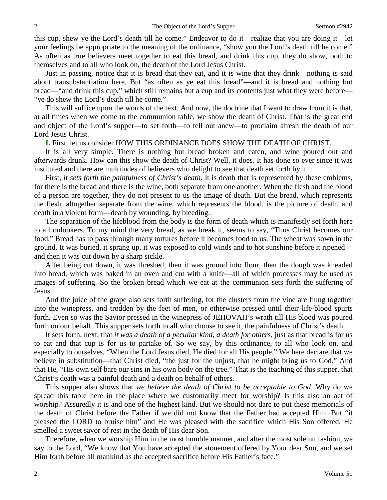this cup, shew ye the Lord's death till he come." Endeavor to do it—realize that you are doing it—let your feelings be appropriate to the meaning of the ordinance, "show you the Lord's death till he come." As often as true believers meet together to eat this bread, and drink this cup, they do show, both to themselves and to all who look on, the death of the Lord Jesus Christ.

Just in passing, notice that it is bread that they eat, and it is wine that they drink—nothing is said about transubstantiation here. But "as often as ye eat this bread"—and it is bread and nothing but bread—"and drink this cup," which still remains but a cup and its contents just what they were before— "ye do shew the Lord's death till he come."

This will suffice upon the words of the text. And now, the doctrine that I want to draw from it is that, at all times when we come to the communion table, we show the death of Christ. That is the great end and object of the Lord's supper—to set forth—to tell out anew—to proclaim afresh the death of our Lord Jesus Christ.

**I.** First, let us consider HOW THIS ORDINANCE DOES SHOW THE DEATH OF CHRIST.

It is all very simple. There is nothing but bread broken and eaten, and wine poured out and afterwards drunk. How can this show the death of Christ? Well, it does. It has done so ever since it was instituted and there are multitudes of believers who delight to see that death set forth by it.

First, *it sets forth the painfulness of Christ's death*. It is death that is represented by these emblems, for there is the bread and there is the wine, both separate from one another. When the flesh and the blood of a person are together, they do not present to us the image of death. But the bread, which represents the flesh, altogether separate from the wine, which represents the blood, is the picture of death, and death in a violent form—death by wounding, by bleeding.

The separation of the lifeblood from the body is the form of death which is manifestly set forth here to all onlookers. To my mind the very bread, as we break it, seems to say, "Thus Christ becomes our food." Bread has to pass through many tortures before it becomes food to us. The wheat was sown in the ground. It was buried, it sprang up, it was exposed to cold winds and to hot sunshine before it ripened and then it was cut down by a sharp sickle.

After being cut down, it was threshed, then it was ground into flour, then the dough was kneaded into bread, which was baked in an oven and cut with a knife—all of which processes may be used as images of suffering. So the broken bread which we eat at the communion sets forth the suffering of Jesus.

And the juice of the grape also sets forth suffering, for the clusters from the vine are flung together into the winepress, and trodden by the feet of men, or otherwise pressed until their life-blood spurts forth. Even so was the Savior pressed in the winepress of JEHOVAH's wrath till His blood was poured forth on our behalf. This supper sets forth to all who choose to see it, the painfulness of Christ's death.

It sets forth, next, that *it was a death of a peculiar kind, a death for others*, just as that bread is for us to eat and that cup is for us to partake of. So we say, by this ordinance, to all who look on, and especially to ourselves, "When the Lord Jesus died, He died for all His people." We here declare that we believe in substitution—that Christ died, "the just for the unjust, that he might bring us to God." And that He, "His own self bare our sins in his own body on the tree." That is the teaching of this supper, that Christ's death was a painful death and a death on behalf of others.

This supper also shows that *we believe the death of Christ to be acceptable to God*. Why do we spread this table here in the place where we customarily meet for worship? Is this also an act of worship? Assuredly it is and one of the highest kind. But we should not dare to put these memorials of the death of Christ before the Father if we did not know that the Father had accepted Him. But "it pleased the LORD to bruise him" and He was pleased with the sacrifice which His Son offered. He smelled a sweet savor of rest in the death of His dear Son.

Therefore, when we worship Him in the most humble manner, and after the most solemn fashion, we say to the Lord, "We know that You have accepted the atonement offered by Your dear Son, and we set Him forth before all mankind as the accepted sacrifice before His Father's face."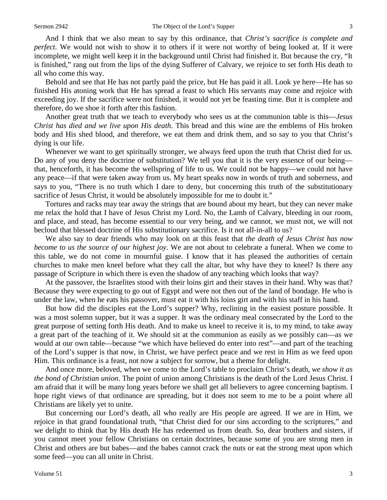And I think that we also mean to say by this ordinance, that *Christ's sacrifice is complete and perfect*. We would not wish to show it to others if it were not worthy of being looked at. If it were incomplete, we might well keep it in the background until Christ had finished it. But because the cry, "It is finished," rang out from the lips of the dying Sufferer of Calvary, we rejoice to set forth His death to all who come this way.

Behold and see that He has not partly paid the price, but He has paid it all. Look ye here—He has so finished His atoning work that He has spread a feast to which His servants may come and rejoice with exceeding joy. If the sacrifice were not finished, it would not yet be feasting time. But it is complete and therefore, do we shoe it forth after this fashion.

Another great truth that we teach to everybody who sees us at the communion table is this—*Jesus Christ has died and we live upon His death*. This bread and this wine are the emblems of His broken body and His shed blood, and therefore, we eat them and drink them, and so say to you that Christ's dying is our life.

Whenever we want to get spiritually stronger, we always feed upon the truth that Christ died for us. Do any of you deny the doctrine of substitution? We tell you that it is the very essence of our being that, henceforth, it has become the wellspring of life to us. We could not be happy—we could not have any peace—if that were taken away from us. My heart speaks now in words of truth and soberness, and says to you, "There is no truth which I dare to deny, but concerning this truth of the substitutionary sacrifice of Jesus Christ, it would be absolutely impossible for me to doubt it."

Tortures and racks may tear away the strings that are bound about my heart, but they can never make me relax the hold that I have of Jesus Christ my Lord. No, the Lamb of Calvary, bleeding in our room, and place, and stead, has become essential to our very being, and we cannot, we must not, we will not becloud that blessed doctrine of His substitutionary sacrifice. Is it not all-in-all to us?

We also say to dear friends who may look on at this feast that *the death of Jesus Christ has now become to us the source of our highest joy*. We are not about to celebrate a funeral. When we come to this table, we do not come in mournful guise. I know that it has pleased the authorities of certain churches to make men kneel before what they call the altar, but why have they to kneel? Is there any passage of Scripture in which there is even the shadow of any teaching which looks that way?

At the passover, the Israelites stood with their loins girt and their staves in their hand. Why was that? Because they were expecting to go out of Egypt and were not then out of the land of bondage. He who is under the law, when he eats his passover, must eat it with his loins girt and with his staff in his hand.

But how did the disciples eat the Lord's supper? Why, reclining in the easiest posture possible. It was a most solemn supper, but it was a supper. It was the ordinary meal consecrated by the Lord to the great purpose of setting forth His death. And to make us kneel to receive it is, to my mind, to take away a great part of the teaching of it. We should sit at the communion as easily as we possibly can—as we would at our own table—because "we which have believed do enter into rest"—and part of the teaching of the Lord's supper is that now, in Christ, we have perfect peace and we rest in Him as we feed upon Him. This ordinance is a feast, not now a subject for sorrow, but a theme for delight.

And once more, beloved, when we come to the Lord's table to proclaim Christ's death, *we show it as the bond of Christian union*. The point of union among Christians is the death of the Lord Jesus Christ. I am afraid that it will be many long years before we shall get all believers to agree concerning baptism. I hope right views of that ordinance are spreading, but it does not seem to me to be a point where all Christians are likely yet to unite.

But concerning our Lord's death, all who really are His people are agreed. If we are in Him, we rejoice in that grand foundational truth, "that Christ died for our sins according to the scriptures," and we delight to think that by His death He has redeemed us from death. So, dear brothers and sisters, if you cannot meet your fellow Christians on certain doctrines, because some of you are strong men in Christ and others are but babes—and the babes cannot crack the nuts or eat the strong meat upon which some feed—you can all unite in Christ.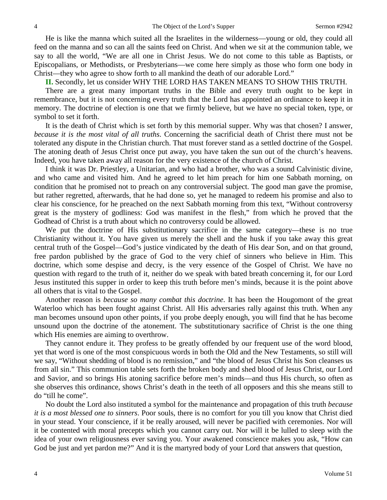He is like the manna which suited all the Israelites in the wilderness—young or old, they could all feed on the manna and so can all the saints feed on Christ. And when we sit at the communion table, we say to all the world, "We are all one in Christ Jesus. We do not come to this table as Baptists, or Episcopalians, or Methodists, or Presbyterians—we come here simply as those who form one body in Christ—they who agree to show forth to all mankind the death of our adorable Lord."

**II.** Secondly, let us consider WHY THE LORD HAS TAKEN MEANS TO SHOW THIS TRUTH.

There are a great many important truths in the Bible and every truth ought to be kept in remembrance, but it is not concerning every truth that the Lord has appointed an ordinance to keep it in memory. The doctrine of election is one that we firmly believe, but we have no special token, type, or symbol to set it forth.

It is the death of Christ which is set forth by this memorial supper. Why was that chosen? I answer, *because it is the most vital of all truths*. Concerning the sacrificial death of Christ there must not be tolerated any dispute in the Christian church. That must forever stand as a settled doctrine of the Gospel. The atoning death of Jesus Christ once put away, you have taken the sun out of the church's heavens. Indeed, you have taken away all reason for the very existence of the church of Christ.

I think it was Dr. Priestley, a Unitarian, and who had a brother, who was a sound Calvinistic divine, and who came and visited him. And he agreed to let him preach for him one Sabbath morning, on condition that he promised not to preach on any controversial subject. The good man gave the promise, but rather regretted, afterwards, that he had done so, yet he managed to redeem his promise and also to clear his conscience, for he preached on the next Sabbath morning from this text, "Without controversy great is the mystery of godliness: God was manifest in the flesh," from which he proved that the Godhead of Christ is a truth about which no controversy could be allowed.

We put the doctrine of His substitutionary sacrifice in the same category—these is no true Christianity without it. You have given us merely the shell and the husk if you take away this great central truth of the Gospel—God's justice vindicated by the death of His dear Son, and on that ground, free pardon published by the grace of God to the very chief of sinners who believe in Him. This doctrine, which some despise and decry, is the very essence of the Gospel of Christ. We have no question with regard to the truth of it, neither do we speak with bated breath concerning it, for our Lord Jesus instituted this supper in order to keep this truth before men's minds, because it is the point above all others that is vital to the Gospel.

Another reason is *because so many combat this doctrine*. It has been the Hougomont of the great Waterloo which has been fought against Christ. All His adversaries rally against this truth. When any man becomes unsound upon other points, if you probe deeply enough, you will find that he has become unsound upon the doctrine of the atonement. The substitutionary sacrifice of Christ is the one thing which His enemies are aiming to overthrow.

They cannot endure it. They profess to be greatly offended by our frequent use of the word blood, yet that word is one of the most conspicuous words in both the Old and the New Testaments, so still will we say, "Without shedding of blood is no remission," and "the blood of Jesus Christ his Son cleanses us from all sin." This communion table sets forth the broken body and shed blood of Jesus Christ, our Lord and Savior, and so brings His atoning sacrifice before men's minds—and thus His church, so often as she observes this ordinance, shows Christ's death in the teeth of all opposers and this she means still to do "till he come".

No doubt the Lord also instituted a symbol for the maintenance and propagation of this truth *because it is a most blessed one to sinners*. Poor souls, there is no comfort for you till you know that Christ died in your stead. Your conscience, if it be really aroused, will never be pacified with ceremonies. Nor will it be contented with moral precepts which you cannot carry out. Nor will it be lulled to sleep with the idea of your own religiousness ever saving you. Your awakened conscience makes you ask, "How can God be just and yet pardon me?" And it is the martyred body of your Lord that answers that question,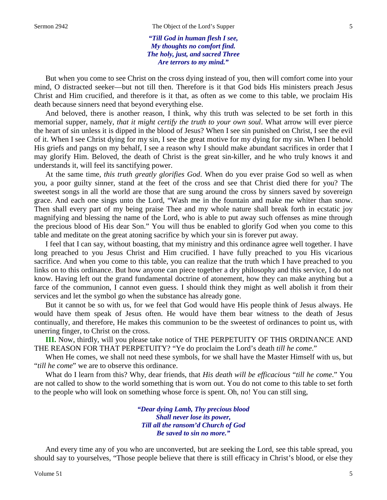*"Till God in human flesh I see, My thoughts no comfort find. The holy, just, and sacred Three Are terrors to my mind."*

But when you come to see Christ on the cross dying instead of you, then will comfort come into your mind, O distracted seeker—but not till then. Therefore is it that God bids His ministers preach Jesus Christ and Him crucified, and therefore is it that, as often as we come to this table, we proclaim His death because sinners need that beyond everything else.

And beloved, there is another reason, I think, why this truth was selected to be set forth in this memorial supper, namely, *that it might certify the truth to your own soul*. What arrow will ever pierce the heart of sin unless it is dipped in the blood of Jesus? When I see sin punished on Christ, I see the evil of it. When I see Christ dying for my sin, I see the great motive for my dying for my sin. When I behold His griefs and pangs on my behalf, I see a reason why I should make abundant sacrifices in order that I may glorify Him. Beloved, the death of Christ is the great sin-killer, and he who truly knows it and understands it, will feel its sanctifying power.

At the same time, *this truth greatly glorifies God*. When do you ever praise God so well as when you, a poor guilty sinner, stand at the feet of the cross and see that Christ died there for you? The sweetest songs in all the world are those that are sung around the cross by sinners saved by sovereign grace. And each one sings unto the Lord, "Wash me in the fountain and make me whiter than snow. Then shall every part of my being praise Thee and my whole nature shall break forth in ecstatic joy magnifying and blessing the name of the Lord, who is able to put away such offenses as mine through the precious blood of His dear Son." You will thus be enabled to glorify God when you come to this table and meditate on the great atoning sacrifice by which your sin is forever put away.

I feel that I can say, without boasting, that my ministry and this ordinance agree well together. I have long preached to you Jesus Christ and Him crucified. I have fully preached to you His vicarious sacrifice. And when you come to this table, you can realize that the truth which I have preached to you links on to this ordinance. But how anyone can piece together a dry philosophy and this service, I do not know. Having left out the grand fundamental doctrine of atonement, how they can make anything but a farce of the communion, I cannot even guess. I should think they might as well abolish it from their services and let the symbol go when the substance has already gone.

But it cannot be so with us, for we feel that God would have His people think of Jesus always. He would have them speak of Jesus often. He would have them bear witness to the death of Jesus continually, and therefore, He makes this communion to be the sweetest of ordinances to point us, with unerring finger, to Christ on the cross.

**III.** Now, thirdly, will you please take notice of THE PERPETUITY OF THIS ORDINANCE AND THE REASON FOR THAT PERPETUITY? "Ye do proclaim the Lord's death *till he come*."

When He comes, we shall not need these symbols, for we shall have the Master Himself with us, but "*till he come*" we are to observe this ordinance.

What do I learn from this? Why, dear friends, that *His death will be efficacious* "*till he come*." You are not called to show to the world something that is worn out. You do not come to this table to set forth to the people who will look on something whose force is spent. Oh, no! You can still sing,

> *"Dear dying Lamb, Thy precious blood Shall never lose its power, Till all the ransom'd Church of God Be saved to sin no more."*

And every time any of you who are unconverted, but are seeking the Lord, see this table spread, you should say to yourselves, "Those people believe that there is still efficacy in Christ's blood, or else they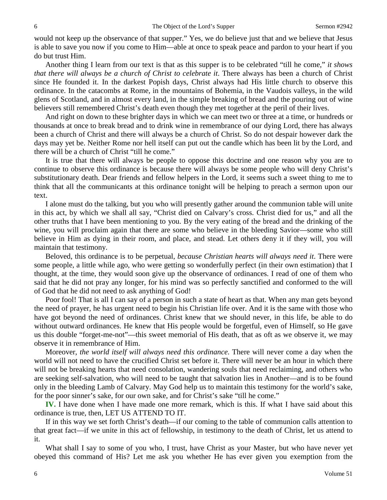would not keep up the observance of that supper." Yes, we do believe just that and we believe that Jesus is able to save you now if you come to Him—able at once to speak peace and pardon to your heart if you do but trust Him.

Another thing I learn from our text is that as this supper is to be celebrated "till he come," *it shows*  that there will always be a church of Christ to celebrate it. There always has been a church of Christ since He founded it. In the darkest Popish days, Christ always had His little church to observe this ordinance. In the catacombs at Rome, in the mountains of Bohemia, in the Vaudois valleys, in the wild glens of Scotland, and in almost every land, in the simple breaking of bread and the pouring out of wine believers still remembered Christ's death even though they met together at the peril of their lives.

And right on down to these brighter days in which we can meet two or three at a time, or hundreds or thousands at once to break bread and to drink wine in remembrance of our dying Lord, there has always been a church of Christ and there will always be a church of Christ. So do not despair however dark the days may yet be. Neither Rome nor hell itself can put out the candle which has been lit by the Lord, and there will be a church of Christ "till he come."

It is true that there will always be people to oppose this doctrine and one reason why you are to continue to observe this ordinance is because there will always be some people who will deny Christ's substitutionary death. Dear friends and fellow helpers in the Lord, it seems such a sweet thing to me to think that all the communicants at this ordinance tonight will be helping to preach a sermon upon our text.

I alone must do the talking, but you who will presently gather around the communion table will unite in this act, by which we shall all say, "Christ died on Calvary's cross. Christ died for us," and all the other truths that I have been mentioning to you. By the very eating of the bread and the drinking of the wine, you will proclaim again that there are some who believe in the bleeding Savior—some who still believe in Him as dying in their room, and place, and stead. Let others deny it if they will, you will maintain that testimony.

Beloved, this ordinance is to be perpetual, *because Christian hearts will always need it*. There were some people, a little while ago, who were getting so wonderfully perfect (in their own estimation) that I thought, at the time, they would soon give up the observance of ordinances. I read of one of them who said that he did not pray any longer, for his mind was so perfectly sanctified and conformed to the will of God that he did not need to ask anything of God!

Poor fool! That is all I can say of a person in such a state of heart as that. When any man gets beyond the need of prayer, he has urgent need to begin his Christian life over. And it is the same with those who have got beyond the need of ordinances. Christ knew that we should never, in this life, be able to do without outward ordinances. He knew that His people would be forgetful, even of Himself, so He gave us this double "forget-me-not"—this sweet memorial of His death, that as oft as we observe it, we may observe it in remembrance of Him.

Moreover, *the world itself will always need this ordinance*. There will never come a day when the world will not need to have the crucified Christ set before it. There will never be an hour in which there will not be breaking hearts that need consolation, wandering souls that need reclaiming, and others who are seeking self-salvation, who will need to be taught that salvation lies in Another—and is to be found only in the bleeding Lamb of Calvary. May God help us to maintain this testimony for the world's sake, for the poor sinner's sake, for our own sake, and for Christ's sake "till he come."

**IV.** I have done when I have made one more remark, which is this. If what I have said about this ordinance is true, then, LET US ATTEND TO IT.

If in this way we set forth Christ's death—if our coming to the table of communion calls attention to that great fact—if we unite in this act of fellowship, in testimony to the death of Christ, let us attend to it.

What shall I say to some of you who, I trust, have Christ as your Master, but who have never yet obeyed this command of His? Let me ask you whether He has ever given you exemption from the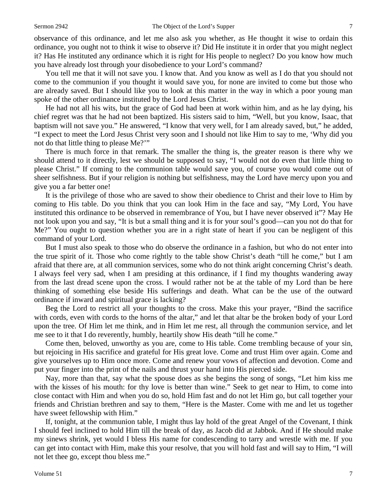observance of this ordinance, and let me also ask you whether, as He thought it wise to ordain this ordinance, you ought not to think it wise to observe it? Did He institute it in order that you might neglect it? Has He instituted any ordinance which it is right for His people to neglect? Do you know how much you have already lost through your disobedience to your Lord's command?

You tell me that it will not save you. I know that. And you know as well as I do that you should not come to the communion if you thought it would save you, for none are invited to come but those who are already saved. But I should like you to look at this matter in the way in which a poor young man spoke of the other ordinance instituted by the Lord Jesus Christ.

He had not all his wits, but the grace of God had been at work within him, and as he lay dying, his chief regret was that he had not been baptized. His sisters said to him, "Well, but you know, Isaac, that baptism will not save you." He answered, "I know that very well, for I am already saved, but," he added, "I expect to meet the Lord Jesus Christ very soon and I should not like Him to say to me, 'Why did you not do that little thing to please Me?'"

There is much force in that remark. The smaller the thing is, the greater reason is there why we should attend to it directly, lest we should be supposed to say, "I would not do even that little thing to please Christ." If coming to the communion table would save you, of course you would come out of sheer selfishness. But if your religion is nothing but selfishness, may the Lord have mercy upon you and give you a far better one!

It is the privilege of those who are saved to show their obedience to Christ and their love to Him by coming to His table. Do you think that you can look Him in the face and say, "My Lord, You have instituted this ordinance to be observed in remembrance of You, but I have never observed it"? May He not look upon you and say, "It is but a small thing and it is for your soul's good—can you not do that for Me?" You ought to question whether you are in a right state of heart if you can be negligent of this command of your Lord.

But I must also speak to those who do observe the ordinance in a fashion, but who do not enter into the true spirit of it. Those who come rightly to the table show Christ's death "till he come," but I am afraid that there are, at all communion services, some who do not think aright concerning Christ's death. I always feel very sad, when I am presiding at this ordinance, if I find my thoughts wandering away from the last dread scene upon the cross. I would rather not be at the table of my Lord than be here thinking of something else beside His sufferings and death. What can be the use of the outward ordinance if inward and spiritual grace is lacking?

Beg the Lord to restrict all your thoughts to the cross. Make this your prayer, "Bind the sacrifice with cords, even with cords to the horns of the altar," and let that altar be the broken body of your Lord upon the tree. Of Him let me think, and in Him let me rest, all through the communion service, and let me see to it that I do reverently, humbly, heartily show His death "till he come."

Come then, beloved, unworthy as you are, come to His table. Come trembling because of your sin, but rejoicing in His sacrifice and grateful for His great love. Come and trust Him over again. Come and give yourselves up to Him once more. Come and renew your vows of affection and devotion. Come and put your finger into the print of the nails and thrust your hand into His pierced side.

Nay, more than that, say what the spouse does as she begins the song of songs, "Let him kiss me with the kisses of his mouth: for thy love is better than wine." Seek to get near to Him, to come into close contact with Him and when you do so, hold Him fast and do not let Him go, but call together your friends and Christian brethren and say to them, "Here is the Master. Come with me and let us together have sweet fellowship with Him."

If, tonight, at the communion table, I might thus lay hold of the great Angel of the Covenant, I think I should feel inclined to hold Him till the break of day, as Jacob did at Jabbok. And if He should make my sinews shrink, yet would I bless His name for condescending to tarry and wrestle with me. If you can get into contact with Him, make this your resolve, that you will hold fast and will say to Him, "I will not let thee go, except thou bless me."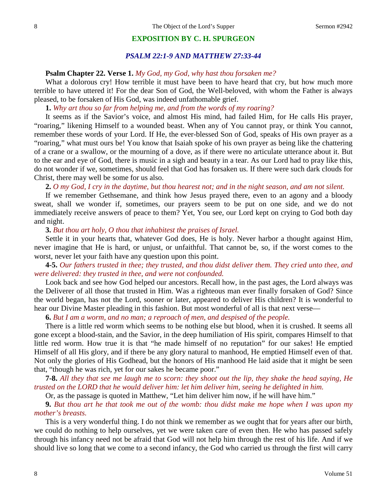### **EXPOSITION BY C. H. SPURGEON**

## *PSALM 22:1-9 AND MATTHEW 27:33-44*

### **Psalm Chapter 22. Verse 1.** *My God, my God, why hast thou forsaken me?*

What a dolorous cry! How terrible it must have been to have heard that cry, but how much more terrible to have uttered it! For the dear Son of God, the Well-beloved, with whom the Father is always pleased, to be forsaken of His God, was indeed unfathomable grief.

**1.** *Why art thou so far from helping me, and from the words of my roaring?*

It seems as if the Savior's voice, and almost His mind, had failed Him, for He calls His prayer, "roaring," likening Himself to a wounded beast. When any of You cannot pray, or think You cannot, remember these words of your Lord. If He, the ever-blessed Son of God, speaks of His own prayer as a "roaring," what must ours be! You know that Isaiah spoke of his own prayer as being like the chattering of a crane or a swallow, or the mourning of a dove, as if there were no articulate utterance about it. But to the ear and eye of God, there is music in a sigh and beauty in a tear. As our Lord had to pray like this, do not wonder if we, sometimes, should feel that God has forsaken us. If there were such dark clouds for Christ, there may well be some for us also.

**2.** *O my God, I cry in the daytime, but thou hearest not; and in the night season, and am not silent.*

If we remember Gethsemane, and think how Jesus prayed there, even to an agony and a bloody sweat, shall we wonder if, sometimes, our prayers seem to be put on one side, and we do not immediately receive answers of peace to them? Yet, You see, our Lord kept on crying to God both day and night.

**3.** *But thou art holy, O thou that inhabitest the praises of Israel.*

Settle it in your hearts that, whatever God does, He is holy. Never harbor a thought against Him, never imagine that He is hard, or unjust, or unfaithful. That cannot be, so, if the worst comes to the worst, never let your faith have any question upon this point.

**4-5.** *Our fathers trusted in thee; they trusted, and thou didst deliver them. They cried unto thee, and were delivered: they trusted in thee, and were not confounded.* 

Look back and see how God helped our ancestors. Recall how, in the past ages, the Lord always was the Deliverer of all those that trusted in Him. Was a righteous man ever finally forsaken of God? Since the world began, has not the Lord, sooner or later, appeared to deliver His children? It is wonderful to hear our Divine Master pleading in this fashion. But most wonderful of all is that next verse—

**6.** *But I am a worm, and no man; a reproach of men, and despised of the people.* 

There is a little red worm which seems to be nothing else but blood, when it is crushed. It seems all gone except a blood-stain, and the Savior, in the deep humiliation of His spirit, compares Himself to that little red worm. How true it is that "he made himself of no reputation" for our sakes! He emptied Himself of all His glory, and if there be any glory natural to manhood, He emptied Himself even of that. Not only the glories of His Godhead, but the honors of His manhood He laid aside that it might be seen that, "though he was rich, yet for our sakes he became poor."

**7-8.** *All they that see me laugh me to scorn: they shoot out the lip, they shake the head saying, He trusted on the LORD that he would deliver him: let him deliver him, seeing he delighted in him.* 

Or, as the passage is quoted in Matthew, "Let him deliver him now, if he will have him."

**9.** *But thou art he that took me out of the womb: thou didst make me hope when I was upon my mother's breasts.*

This is a very wonderful thing. I do not think we remember as we ought that for years after our birth, we could do nothing to help ourselves, yet we were taken care of even then. He who has passed safely through his infancy need not be afraid that God will not help him through the rest of his life. And if we should live so long that we come to a second infancy, the God who carried us through the first will carry